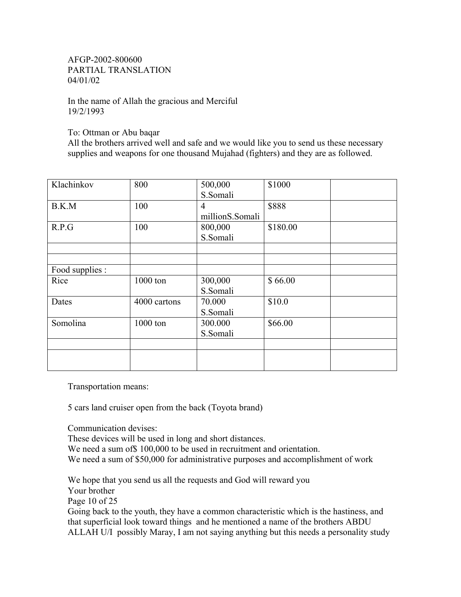AFGP-2002-800600 PARTIAL TRANSLATION 04/01/02

In the name of Allah the gracious and Merciful 19/2/1993

To: Ottman or Abu baqar

All the brothers arrived well and safe and we would like you to send us these necessary supplies and weapons for one thousand Mujahad (fighters) and they are as followed.

| Klachinkov      | 800          | 500,000         | \$1000   |  |
|-----------------|--------------|-----------------|----------|--|
|                 |              | S.Somali        |          |  |
| B.K.M           | 100          | 4               | \$888    |  |
|                 |              | millionS.Somali |          |  |
| R.P.G           | 100          | 800,000         | \$180.00 |  |
|                 |              | S.Somali        |          |  |
|                 |              |                 |          |  |
|                 |              |                 |          |  |
| Food supplies : |              |                 |          |  |
| Rice            | 1000 ton     | 300,000         | \$66.00  |  |
|                 |              | S.Somali        |          |  |
| Dates           | 4000 cartons | 70.000          | \$10.0   |  |
|                 |              | S.Somali        |          |  |
| Somolina        | 1000 ton     | 300.000         | \$66.00  |  |
|                 |              | S.Somali        |          |  |
|                 |              |                 |          |  |
|                 |              |                 |          |  |
|                 |              |                 |          |  |

Transportation means:

5 cars land cruiser open from the back (Toyota brand)

Communication devises:

These devices will be used in long and short distances. We need a sum of \$100,000 to be used in recruitment and orientation. We need a sum of \$50,000 for administrative purposes and accomplishment of work

We hope that you send us all the requests and God will reward you Your brother Page 10 of 25 Going back to the youth, they have a common characteristic which is the hastiness, and that superficial look toward things and he mentioned a name of the brothers ABDU

ALLAH U/I possibly Maray, I am not saying anything but this needs a personality study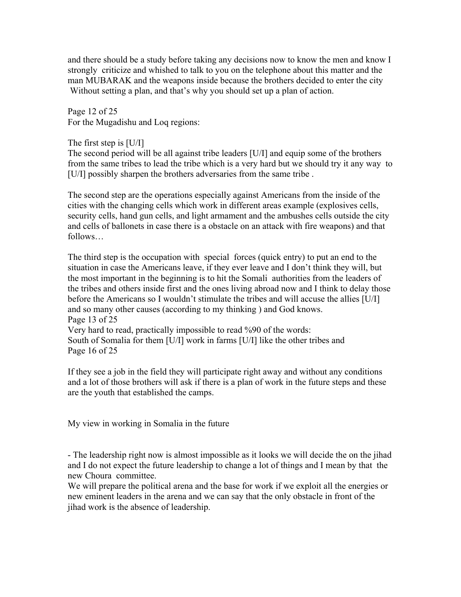and there should be a study before taking any decisions now to know the men and know I strongly criticize and whished to talk to you on the telephone about this matter and the man MUBARAK and the weapons inside because the brothers decided to enter the city Without setting a plan, and that's why you should set up a plan of action.

Page 12 of 25 For the Mugadishu and Loq regions:

The first step is [U/I]

The second period will be all against tribe leaders [U/I] and equip some of the brothers from the same tribes to lead the tribe which is a very hard but we should try it any way to [U/I] possibly sharpen the brothers adversaries from the same tribe.

The second step are the operations especially against Americans from the inside of the cities with the changing cells which work in different areas example (explosives cells, security cells, hand gun cells, and light armament and the ambushes cells outside the city and cells of ballonets in case there is a obstacle on an attack with fire weapons) and that follows…

The third step is the occupation with special forces (quick entry) to put an end to the situation in case the Americans leave, if they ever leave and I don't think they will, but the most important in the beginning is to hit the Somali authorities from the leaders of the tribes and others inside first and the ones living abroad now and I think to delay those before the Americans so I wouldn't stimulate the tribes and will accuse the allies [U/I] and so many other causes (according to my thinking ) and God knows. Page 13 of 25 Very hard to read, practically impossible to read %90 of the words: South of Somalia for them [U/I] work in farms [U/I] like the other tribes and

Page 16 of 25

If they see a job in the field they will participate right away and without any conditions and a lot of those brothers will ask if there is a plan of work in the future steps and these are the youth that established the camps.

My view in working in Somalia in the future

- The leadership right now is almost impossible as it looks we will decide the on the jihad and I do not expect the future leadership to change a lot of things and I mean by that the new Choura committee.

We will prepare the political arena and the base for work if we exploit all the energies or new eminent leaders in the arena and we can say that the only obstacle in front of the jihad work is the absence of leadership.